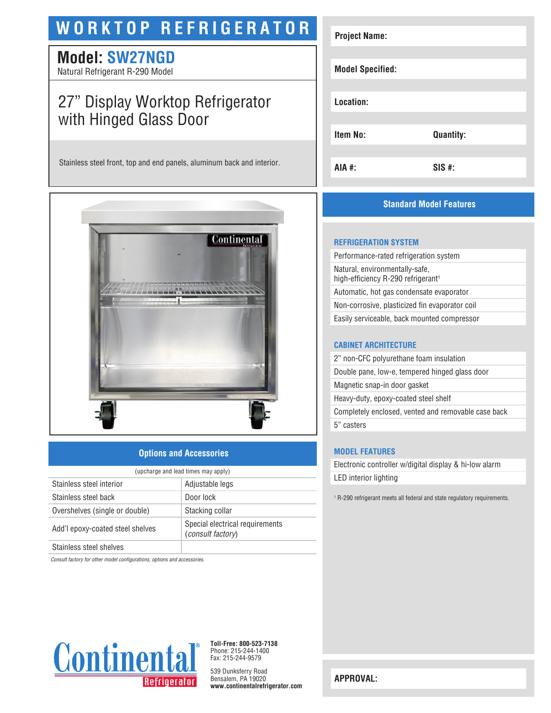# **WORKTOP REFRIGERATOR**

## **Model: SW27NGD**

Natural Refrigerant R-290 Model

## 27" Display Worktop Refrigerator with Hinged Glass Door

Stainless steel front, top and end panels, aluminum back and interior.



#### **Options and Accessories**

| (upcharge and lead times may apply) |                                                             |  |
|-------------------------------------|-------------------------------------------------------------|--|
| Stainless steel interior            | Adjustable legs                                             |  |
| Stainless steel back                | Door lock                                                   |  |
| Overshelves (single or double)      | Stacking collar                                             |  |
| Add'l epoxy-coated steel shelves    | Special electrical requirements<br><i>(consult factory)</i> |  |
| Stainless steel shelves             |                                                             |  |

*Consult factory for other model configurations, options and accessories.*



**Toll-Free: 800-523-7138** Phone: 215-244-1400 Fax: 215-244-9579

539 Dunksferry Road Bensalem, PA 19020 **www.continentalrefrigerator.com** 

| <b>Project Name:</b>    |                  |
|-------------------------|------------------|
| <b>Model Specified:</b> |                  |
| Location:               |                  |
| Item No:                | <b>Quantity:</b> |
| AIA #:                  | $SIS$ #:         |

### **Standard Model Features**

#### **REFRIGERATION SYSTEM**

Performance-rated refrigeration system Natural, environmentally-safe, high-efficiency R-290 refrigerant<sup>1</sup> Automatic, hot gas condensate evaporator Non-corrosive, plasticized fin evaporator coil Easily serviceable, back mounted compressor

#### **CABINET ARCHITECTURE**

2" non-CFC polyurethane foam insulation Double pane, low-e, tempered hinged glass door Magnetic snap-in door gasket Heavy-duty, epoxy-coated steel shelf Completely enclosed, vented and removable case back 5" casters

#### **MODEL FEATURES**

Electronic controller w/digital display & hi-low alarm LED interior lighting

<sup>1</sup> R-290 refrigerant meets all federal and state regulatory requirements.

**APPROVAL:**